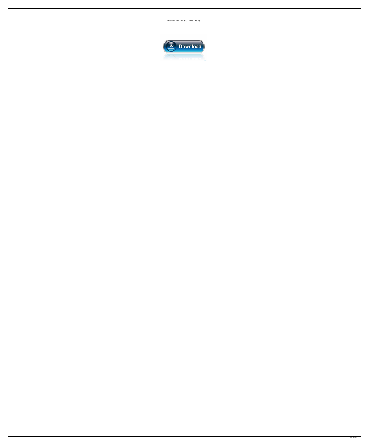Mkv Main Aur Tum 1987 720 Full Blu-ray